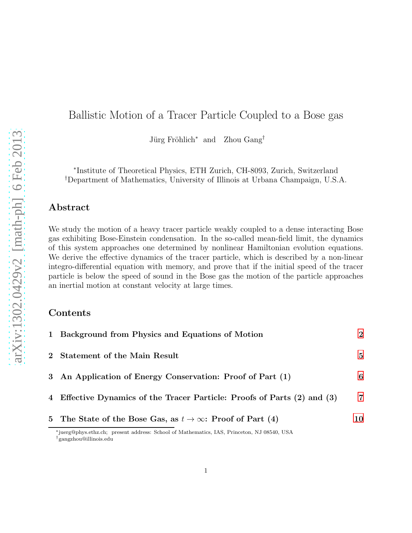# Ballistic Motion of a Tracer Particle Coupled to a Bose gas

Jürg Fröhlich<sup>∗</sup> and Zhou Gang<sup>†</sup>

∗ Institute of Theoretical Physics, ETH Zurich, CH-8093, Zurich, Switzerland †Department of Mathematics, University of Illinois at Urbana Champaign, U.S.A.

### Abstract

We study the motion of a heavy tracer particle weakly coupled to a dense interacting Bose gas exhibiting Bose-Einstein condensation. In the so-called mean-field limit, the dynamics of this system approaches one determined by nonlinear Hamiltonian evolution equations. We derive the effective dynamics of the tracer particle, which is described by a non-linear integro-differential equation with memory, and prove that if the initial speed of the tracer particle is below the speed of sound in the Bose gas the motion of the particle approaches an inertial motion at constant velocity at large times.

## Contents

| 1 Background from Physics and Equations of Motion                        | $\mathcal{D}_{\mathcal{L}}$ |
|--------------------------------------------------------------------------|-----------------------------|
| 2 Statement of the Main Result                                           | $5^{\circ}$                 |
| 3 An Application of Energy Conservation: Proof of Part (1)               | 6                           |
| 4 Effective Dynamics of the Tracer Particle: Proofs of Parts (2) and (3) | $\overline{7}$              |
| 5 The State of the Bose Gas, as $t \to \infty$ : Proof of Part (4)       | 10                          |

<sup>∗</sup>juerg@phys.ethz.ch; present address: School of Mathematics, IAS, Princeton, NJ 08540, USA †gangzhou@illinois.edu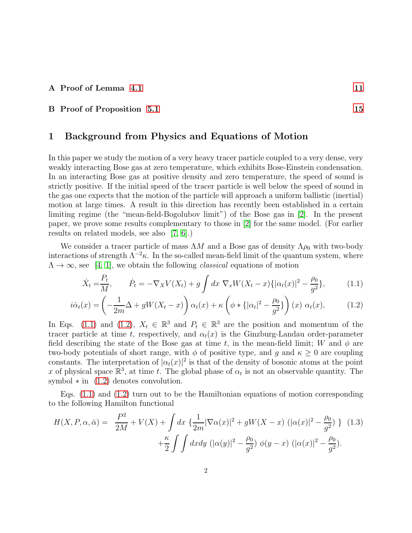#### A Proof of Lemma [4.1](#page-8-0) [11](#page-10-0)

#### <span id="page-1-0"></span>B Proof of Proposition [5.1](#page-10-1) [15](#page-14-0)

#### 1 Background from Physics and Equations of Motion

In this paper we study the motion of a very heavy tracer particle coupled to a very dense, very weakly interacting Bose gas at zero temperature, which exhibits Bose-Einstein condensation. In an interacting Bose gas at positive density and zero temperature, the speed of sound is strictly positive. If the initial speed of the tracer particle is well below the speed of sound in the gas one expects that the motion of the particle will approach a uniform ballistic (inertial) motion at large times. A result in this direction has recently been established in a certain limiting regime (the "mean-field-Bogolubov limit") of the Bose gas in [\[2\]](#page-16-0). In the present paper, we prove some results complementary to those in [\[2\]](#page-16-0) for the same model. (For earlier results on related models, see also [\[7,](#page-16-1) [6\]](#page-16-2).)

We consider a tracer particle of mass  $\Lambda M$  and a Bose gas of density  $\Lambda \rho_0$  with two-body interactions of strength  $\Lambda^{-2}\kappa$ . In the so-called mean-field limit of the quantum system, where  $\Lambda \to \infty$ , see [\[4,](#page-16-3) [1\]](#page-16-4), we obtain the following *classical* equations of motion

<span id="page-1-2"></span><span id="page-1-1"></span>
$$
\dot{X}_t = \frac{P_t}{M}, \qquad \dot{P}_t = -\nabla_X V(X_t) + g \int dx \; \nabla_x W(X_t - x) \{ |\alpha_t(x)|^2 - \frac{\rho_0}{g^2} \}, \tag{1.1}
$$

$$
i\dot{\alpha}_t(x) = \left(-\frac{1}{2m}\Delta + gW(X_t - x)\right)\alpha_t(x) + \kappa\left(\phi * \{|\alpha_t|^2 - \frac{\rho_0}{g^2}\}\right)(x)\ \alpha_t(x),\tag{1.2}
$$

In Eqs. [\(1.1\)](#page-1-1) and [\(1.2\)](#page-1-2),  $X_t \in \mathbb{R}^3$  and  $P_t \in \mathbb{R}^3$  are the position and momentum of the tracer particle at time t, respectively, and  $\alpha_t(x)$  is the Ginzburg-Landau order-parameter field describing the state of the Bose gas at time t, in the mean-field limit; W and  $\phi$  are two-body potentials of short range, with  $\phi$  of positive type, and g and  $\kappa \geq 0$  are coupling constants. The interpretation of  $|\alpha_t(x)|^2$  is that of the density of bosonic atoms at the point x of physical space  $\mathbb{R}^3$ , at time t. The global phase of  $\alpha_t$  is not an observable quantity. The symbol  $*$  in  $(1.2)$  denotes convolution.

Eqs. [\(1.1\)](#page-1-1) and [\(1.2\)](#page-1-2) turn out to be the Hamiltonian equations of motion corresponding to the following Hamilton functional

<span id="page-1-3"></span>
$$
H(X, P, \alpha, \bar{\alpha}) = \frac{P^2}{2M} + V(X) + \int dx \left\{ \frac{1}{2m} |\nabla \alpha(x)|^2 + gW(X - x) (|\alpha(x)|^2 - \frac{\rho_0}{g^2}) \right\} (1.3) + \frac{\kappa}{2} \int \int dx dy \, (|\alpha(y)|^2 - \frac{\rho_0}{g^2}) \phi(y - x) (|\alpha(x)|^2 - \frac{\rho_0}{g^2}).
$$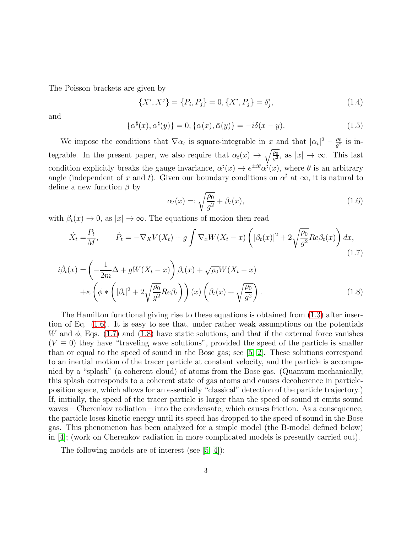The Poisson brackets are given by

$$
\{X^i, X^j\} = \{P_i, P_j\} = 0, \{X^i, P_j\} = \delta^i_j,
$$
\n(1.4)

and

$$
\{\alpha^{\sharp}(x), \alpha^{\sharp}(y)\} = 0, \{\alpha(x), \bar{\alpha}(y)\} = -i\delta(x - y). \tag{1.5}
$$

We impose the conditions that  $\nabla \alpha_t$  is square-integrable in x and that  $|\alpha_t|^2 - \frac{\rho_0}{g^2}$  $\frac{\rho_0}{g^2}$  is integrable. In the present paper, we also require that  $\alpha_t(x) \to \sqrt{\frac{\rho_0}{g^2}}$ , as  $|x| \to \infty$ . This last condition explicitly breaks the gauge invariance,  $\alpha^{\sharp}(x) \to e^{\pm i\theta} \alpha^{\sharp}(x)$ , where  $\theta$  is an arbitrary angle (independent of x and t). Given our boundary conditions on  $\alpha^{\sharp}$  at  $\infty$ , it is natural to define a new function  $\beta$  by

<span id="page-2-2"></span><span id="page-2-1"></span><span id="page-2-0"></span>
$$
\alpha_t(x) = \sqrt{\frac{\rho_0}{g^2}} + \beta_t(x),\tag{1.6}
$$

with  $\beta_t(x) \to 0$ , as  $|x| \to \infty$ . The equations of motion then read

$$
\dot{X}_t = \frac{P_t}{M}, \qquad \dot{P}_t = -\nabla_X V(X_t) + g \int \nabla_x W(X_t - x) \left( |\beta_t(x)|^2 + 2\sqrt{\frac{\rho_0}{g^2}} Re \beta_t(x) \right) dx,
$$
\n(1.7)

$$
i\dot{\beta}_t(x) = \left(-\frac{1}{2m}\Delta + gW(X_t - x)\right)\beta_t(x) + \sqrt{\rho_0}W(X_t - x)
$$

$$
+\kappa \left(\phi * \left(|\beta_t|^2 + 2\sqrt{\frac{\rho_0}{g^2}}Re\beta_t\right)\right)(x)\left(\beta_t(x) + \sqrt{\frac{\rho_0}{g^2}}\right).
$$
(1.8)

The Hamilton functional giving rise to these equations is obtained from [\(1.3\)](#page-1-3) after insertion of Eq. [\(1.6\)](#page-2-0). It is easy to see that, under rather weak assumptions on the potentials W and  $\phi$ , Eqs. [\(1.7\)](#page-2-1) and [\(1.8\)](#page-2-2) have static solutions, and that if the external force vanishes  $(V \equiv 0)$  they have "traveling wave solutions", provided the speed of the particle is smaller than or equal to the speed of sound in the Bose gas; see [\[5,](#page-16-5) [2\]](#page-16-0). These solutions correspond to an inertial motion of the tracer particle at constant velocity, and the particle is accompanied by a "splash" (a coherent cloud) of atoms from the Bose gas. (Quantum mechanically, this splash corresponds to a coherent state of gas atoms and causes decoherence in particleposition space, which allows for an essentially "classical" detection of the particle trajectory.) If, initially, the speed of the tracer particle is larger than the speed of sound it emits sound waves – Cherenkov radiation – into the condensate, which causes friction. As a consequence, the particle loses kinetic energy until its speed has dropped to the speed of sound in the Bose gas. This phenomenon has been analyzed for a simple model (the B-model defined below) in [\[4\]](#page-16-3); (work on Cherenkov radiation in more complicated models is presently carried out).

The following models are of interest (see [\[5,](#page-16-5) [4\]](#page-16-3)):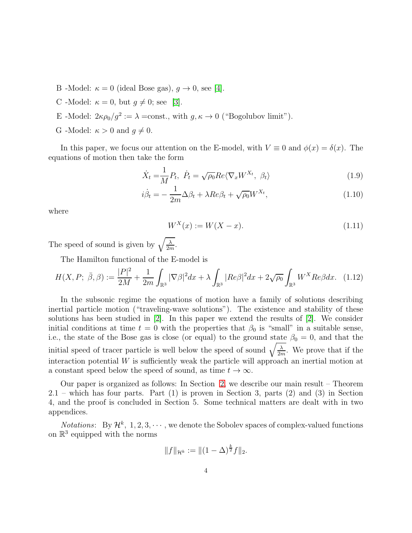- B -Model:  $\kappa = 0$  (ideal Bose gas),  $g \to 0$ , see [\[4\]](#page-16-3).
- C -Model:  $\kappa = 0$ , but  $g \neq 0$ ; see [\[3\]](#page-16-6).
- E -Model:  $2\kappa \rho_0/g^2 := \lambda = \text{const.}$ , with  $g, \kappa \to 0$  ("Bogolubov limit").
- G -Model:  $\kappa > 0$  and  $q \neq 0$ .

In this paper, we focus our attention on the E-model, with  $V \equiv 0$  and  $\phi(x) = \delta(x)$ . The equations of motion then take the form

$$
\dot{X}_t = \frac{1}{M} P_t, \ \dot{P}_t = \sqrt{\rho_0} Re \langle \nabla_x W^{X_t}, \ \beta_t \rangle \tag{1.9}
$$

$$
i\dot{\beta}_t = -\frac{1}{2m}\Delta\beta_t + \lambda Re\beta_t + \sqrt{\rho_0}W^{X_t},\tag{1.10}
$$

where

<span id="page-3-2"></span><span id="page-3-1"></span><span id="page-3-0"></span>
$$
W^X(x) := W(X - x).
$$
\n(1.11)

The speed of sound is given by  $\sqrt{\frac{\lambda}{2n}}$  $\frac{\lambda}{2m}$ .

The Hamilton functional of the E-model is

$$
H(X,P;\ \bar{\beta},\beta) := \frac{|P|^2}{2M} + \frac{1}{2m} \int_{\mathbb{R}^3} |\nabla \beta|^2 dx + \lambda \int_{\mathbb{R}^3} |Re\beta|^2 dx + 2\sqrt{\rho_0} \int_{\mathbb{R}^3} W^X Re\beta dx. \tag{1.12}
$$

In the subsonic regime the equations of motion have a family of solutions describing inertial particle motion ("traveling-wave solutions"). The existence and stability of these solutions has been studied in [\[2\]](#page-16-0). In this paper we extend the results of [\[2\]](#page-16-0). We consider initial conditions at time  $t = 0$  with the properties that  $\beta_0$  is "small" in a suitable sense, i.e., the state of the Bose gas is close (or equal) to the ground state  $\beta_0 = 0$ , and that the initial speed of tracer particle is well below the speed of sound  $\sqrt{\frac{\lambda}{2n}}$  $\frac{\lambda}{2m}$ . We prove that if the interaction potential  $W$  is sufficiently weak the particle will approach an inertial motion at a constant speed below the speed of sound, as time  $t \to \infty$ .

Our paper is organized as follows: In Section [2,](#page-4-0) we describe our main result – Theorem 2.1 – which has four parts. Part (1) is proven in Section 3, parts (2) and (3) in Section 4, and the proof is concluded in Section 5. Some technical matters are dealt with in two appendices.

*Notations*: By  $\mathcal{H}^k$ , 1, 2, 3,  $\cdots$ , we denote the Sobolev spaces of complex-valued functions on  $\mathbb{R}^3$  equipped with the norms

$$
||f||_{\mathcal{H}^k} := ||(1-\Delta)^{\frac{k}{2}}f||_2.
$$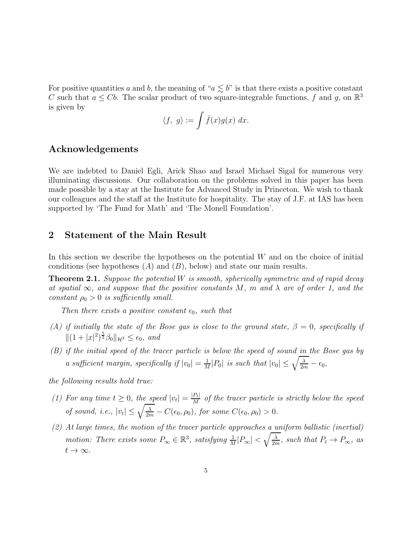For positive quantities a and b, the meaning of " $a \lesssim b$ " is that there exists a positive constant C such that  $a \leq Cb$ . The scalar product of two square-integrable functions, f and g, on  $\mathbb{R}^3$ is given by

$$
\langle f, g \rangle := \int \bar{f}(x) g(x) \ dx.
$$

### Acknowledgements

We are indebted to Daniel Egli, Arick Shao and Israel Michael Sigal for numerous very illuminating discussions. Our collaboration on the problems solved in this paper has been made possible by a stay at the Institute for Advanced Study in Princeton. We wish to thank our colleagues and the staff at the Institute for hospitality. The stay of J.F. at IAS has been supported by 'The Fund for Math' and 'The Monell Foundation'.

#### <span id="page-4-0"></span>2 Statement of the Main Result

In this section we describe the hypotheses on the potential  $W$  and on the choice of initial conditions (see hypotheses  $(A)$  and  $(B)$ , below) and state our main results.

<span id="page-4-1"></span>**Theorem 2.1.** Suppose the potential W is smooth, spherically symmetric and of rapid decay at spatial  $\infty$ , and suppose that the positive constants M, m and  $\lambda$  are of order 1, and the constant  $\rho_0 > 0$  is sufficiently small.

Then there exists a positive constant  $\epsilon_0$ , such that

- (A) if initially the state of the Bose gas is close to the ground state,  $\beta = 0$ , specifically if  $||(1 + |x|^2)^{\frac{5}{2}} \beta_0||_{\mathcal{H}^3} \leq \epsilon_0$ , and
- $(B)$  if the initial speed of the tracer particle is below the speed of sound in the Bose gas by a sufficient margin, specifically if  $|v_0| = \frac{1}{M}$  $\frac{1}{M}|P_0|$  is such that  $|v_0| \leq \sqrt{\frac{\lambda}{2m}} - \epsilon_0$ ,

the following results hold true:

- (1) For any time  $t \geq 0$ , the speed  $|v_t| = \frac{|P_t|}{M}$  $\frac{P_t}{M}$  of the tracer particle is strictly below the speed of sound, i.e.,  $|v_t| \leq \sqrt{\frac{\lambda}{2m}} - C(\epsilon_0, \rho_0)$ , for some  $C(\epsilon_0, \rho_0) > 0$ .
- $(2)$  At large times, the motion of the tracer particle approaches a uniform ballistic (inertial) motion: There exists some  $P_{\infty} \in \mathbb{R}^3$ , satisfying  $\frac{1}{M}|P_{\infty}| < \sqrt{\frac{\lambda}{2n}}$  $\frac{\lambda}{2m}$ , such that  $P_t \to P_{\infty}$ , as  $t\to\infty$ .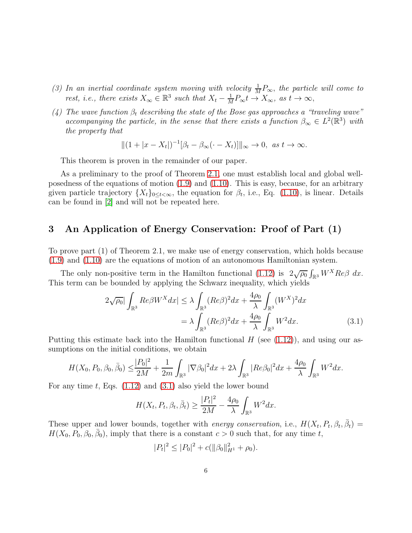- (3) In an inertial coordinate system moving with velocity  $\frac{1}{M}P_{\infty}$ , the particle will come to rest, i.e., there exists  $X_{\infty} \in \mathbb{R}^3$  such that  $X_t - \frac{1}{M}$  $\frac{1}{M}P_{\infty}t \to X_{\infty}$ , as  $t \to \infty$ ,
- (4) The wave function  $\beta_t$  describing the state of the Bose gas approaches a "traveling wave" accompanying the particle, in the sense that there exists a function  $\beta_{\infty} \in L^2(\mathbb{R}^3)$  with the property that

$$
||(1+|x-X_t|)^{-1}[\beta_t-\beta_\infty(\cdot-X_t)]||_\infty\to 0, \text{ as } t\to\infty.
$$

This theorem is proven in the remainder of our paper.

As a preliminary to the proof of Theorem [2.1,](#page-4-1) one must establish local and global wellposedness of the equations of motion [\(1.9\)](#page-3-0) and [\(1.10\)](#page-3-1). This is easy, because, for an arbitrary given particle trajectory  $\{X_t\}_{0\leq t<\infty}$ , the equation for  $\beta_t$ , i.e., Eq. [\(1.10\)](#page-3-1), is linear. Details can be found in [\[2\]](#page-16-0) and will not be repeated here.

## <span id="page-5-0"></span>3 An Application of Energy Conservation: Proof of Part (1)

To prove part (1) of Theorem 2.1, we make use of energy conservation, which holds because [\(1.9\)](#page-3-0) and [\(1.10\)](#page-3-1) are the equations of motion of an autonomous Hamiltonian system.

The only non-positive term in the Hamilton functional [\(1.12\)](#page-3-2) is  $2\sqrt{\rho_0} \int_{\mathbb{R}^3} W^X Re \beta \ dx$ . This term can be bounded by applying the Schwarz inequality, which yields

$$
2\sqrt{\rho_0} \big| \int_{\mathbb{R}^3} Re\beta W^X dx \big| \leq \lambda \int_{\mathbb{R}^3} (Re\beta)^2 dx + \frac{4\rho_0}{\lambda} \int_{\mathbb{R}^3} (W^X)^2 dx
$$

$$
= \lambda \int_{\mathbb{R}^3} (Re\beta)^2 dx + \frac{4\rho_0}{\lambda} \int_{\mathbb{R}^3} W^2 dx. \tag{3.1}
$$

Putting this estimate back into the Hamilton functional  $H$  (see [\(1.12\)](#page-3-2)), and using our assumptions on the initial conditions, we obtain

$$
H(X_0, P_0, \beta_0, \bar{\beta}_0) \le \frac{|P_0|^2}{2M} + \frac{1}{2m} \int_{\mathbb{R}^3} |\nabla \beta_0|^2 dx + 2\lambda \int_{\mathbb{R}^3} |Re \beta_0|^2 dx + \frac{4\rho_0}{\lambda} \int_{\mathbb{R}^3} W^2 dx.
$$

For any time t, Eqs.  $(1.12)$  and  $(3.1)$  also yield the lower bound

<span id="page-5-1"></span>
$$
H(X_t, P_t, \beta_t, \bar{\beta}_t) \ge \frac{|P_t|^2}{2M} - \frac{4\rho_0}{\lambda} \int_{\mathbb{R}^3} W^2 dx.
$$

These upper and lower bounds, together with *energy conservation*, i.e.,  $H(X_t, P_t, \beta_t, \bar{\beta}_t) =$  $H(X_0, \overline{P_0}, \beta_0, \overline{\beta_0})$ , imply that there is a constant  $c > 0$  such that, for any time t,

$$
|P_t|^2 \le |P_0|^2 + c(||\beta_0||_{H^1}^2 + \rho_0).
$$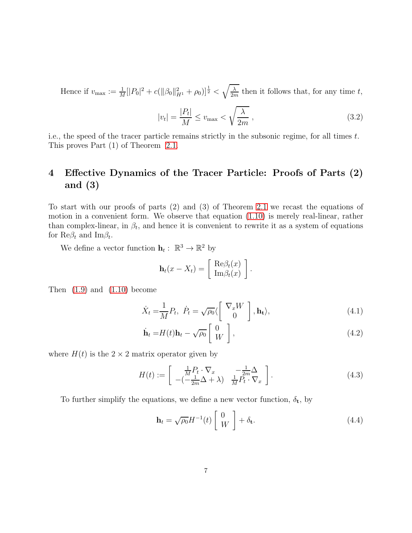Hence if  $v_{\text{max}} := \frac{1}{M} [|P_0|^2 + c(||\beta_0||_{H^1}^2 + \rho_0)]^{\frac{1}{2}} < \sqrt{\frac{\lambda}{2n}}$  $\frac{\lambda}{2m}$  then it follows that, for any time t,

$$
|v_t| = \frac{|P_t|}{M} \le v_{\text{max}} < \sqrt{\frac{\lambda}{2m}} \,,\tag{3.2}
$$

i.e., the speed of the tracer particle remains strictly in the subsonic regime, for all times t. This proves Part (1) of Theorem [2.1.](#page-4-1)

# <span id="page-6-0"></span>4 Effective Dynamics of the Tracer Particle: Proofs of Parts (2) and (3)

To start with our proofs of parts (2) and (3) of Theorem [2.1](#page-4-1) we recast the equations of motion in a convenient form. We observe that equation [\(1.10\)](#page-3-1) is merely real-linear, rather than complex-linear, in  $\beta_t$ , and hence it is convenient to rewrite it as a system of equations for  $\text{Re}\beta_t$  and  $\text{Im}\beta_t$ .

We define a vector function  $\mathbf{h}_t: \ \mathbb{R}^3 \to \mathbb{R}^2$  by

$$
\mathbf{h}_t(x - X_t) = \begin{bmatrix} \text{Re}\beta_t(x) \\ \text{Im}\beta_t(x) \end{bmatrix}
$$

Then  $(1.9)$  and  $(1.10)$  become

$$
\dot{X}_t = \frac{1}{M} P_t, \quad \dot{P}_t = \sqrt{\rho_0} \langle \begin{bmatrix} \nabla_x W \\ 0 \end{bmatrix}, \mathbf{h}_t \rangle,\tag{4.1}
$$

<span id="page-6-4"></span><span id="page-6-3"></span><span id="page-6-2"></span><span id="page-6-1"></span>.

$$
\dot{\mathbf{h}}_t = H(t)\mathbf{h}_t - \sqrt{\rho_0} \begin{bmatrix} 0 \\ W \end{bmatrix},\tag{4.2}
$$

where  $H(t)$  is the  $2 \times 2$  matrix operator given by

$$
H(t) := \begin{bmatrix} \frac{1}{M} P_t \cdot \nabla_x & -\frac{1}{2m} \Delta \\ -\left(-\frac{1}{2m} \Delta + \lambda\right) & \frac{1}{M} P_t^2 \cdot \nabla_x \end{bmatrix} . \tag{4.3}
$$

To further simplify the equations, we define a new vector function,  $\delta_t$ , by

$$
\mathbf{h}_{t} = \sqrt{\rho_{0}} H^{-1}(t) \begin{bmatrix} 0 \\ W \end{bmatrix} + \delta_{\mathbf{t}}.
$$
 (4.4)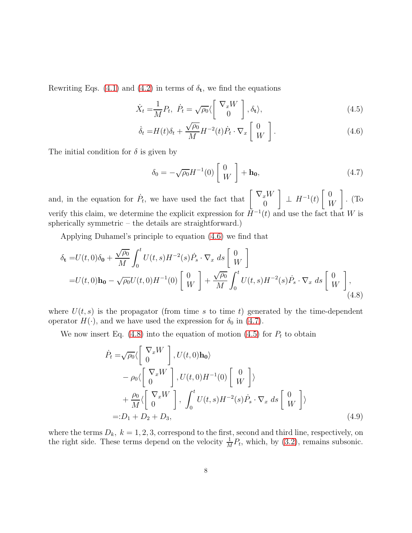Rewriting Eqs. [\(4.1\)](#page-6-1) and [\(4.2\)](#page-6-2) in terms of  $\delta_t$ , we find the equations

$$
\dot{X}_t = \frac{1}{M} P_t, \quad \dot{P}_t = \sqrt{\rho_0} \langle \begin{bmatrix} \nabla_x W \\ 0 \end{bmatrix}, \delta_t \rangle, \tag{4.5}
$$

$$
\dot{\delta}_t = H(t)\delta_t + \frac{\sqrt{\rho_0}}{M}H^{-2}(t)\dot{P}_t \cdot \nabla_x \begin{bmatrix} 0 \\ W \end{bmatrix}.
$$
\n(4.6)

The initial condition for  $\delta$  is given by

<span id="page-7-3"></span><span id="page-7-2"></span><span id="page-7-1"></span><span id="page-7-0"></span>
$$
\delta_0 = -\sqrt{\rho_0} H^{-1}(0) \begin{bmatrix} 0 \\ W \end{bmatrix} + \mathbf{h_0},\tag{4.7}
$$

and, in the equation for  $\dot{P}_t$ , we have used the fact that  $\begin{bmatrix} \nabla_x W \\ 0 \end{bmatrix}$  $\theta$  $\Big] \perp H^{-1}(t)$  $\begin{bmatrix} 0 \end{bmatrix}$ W 1 . (To verify this claim, we determine the explicit expression for  $\bar{H}^{-1}(t)$  and use the fact that W is spherically symmetric – the details are straightforward.)

Applying Duhamel's principle to equation [\(4.6\)](#page-7-0) we find that

$$
\delta_{\mathbf{t}} = U(t,0)\delta_{\mathbf{0}} + \frac{\sqrt{\rho_0}}{M} \int_0^t U(t,s)H^{-2}(s)\dot{P}_s \cdot \nabla_x \, ds \begin{bmatrix} 0 \\ W \end{bmatrix}
$$
  
= U(t,0)**h**<sub>0</sub> -  $\sqrt{\rho_0}U(t,0)H^{-1}(0) \begin{bmatrix} 0 \\ W \end{bmatrix} + \frac{\sqrt{\rho_0}}{M} \int_0^t U(t,s)H^{-2}(s)\dot{P}_s \cdot \nabla_x \, ds \begin{bmatrix} 0 \\ W \end{bmatrix},$  (4.8)

where  $U(t, s)$  is the propagator (from time s to time t) generated by the time-dependent operator  $H(\cdot)$ , and we have used the expression for  $\delta_0$  in [\(4.7\)](#page-7-1).

We now insert Eq.  $(4.8)$  into the equation of motion  $(4.5)$  for  $P_t$  to obtain

<span id="page-7-4"></span>
$$
\dot{P}_t = \sqrt{\rho_0} \langle \begin{bmatrix} \nabla_x W \\ 0 \end{bmatrix}, U(t, 0) \mathbf{h_0} \rangle
$$
  
\n
$$
- \rho_0 \langle \begin{bmatrix} \nabla_x W \\ 0 \end{bmatrix}, U(t, 0) H^{-1}(0) \begin{bmatrix} 0 \\ W \end{bmatrix} \rangle
$$
  
\n
$$
+ \frac{\rho_0}{M} \langle \begin{bmatrix} \nabla_x W \\ 0 \end{bmatrix}, \int_0^t U(t, s) H^{-2}(s) \dot{P}_s \cdot \nabla_x ds \begin{bmatrix} 0 \\ W \end{bmatrix} \rangle
$$
  
\n
$$
=: D_1 + D_2 + D_3,
$$
\n(4.9)

where the terms  $D_k$ ,  $k = 1, 2, 3$ , correspond to the first, second and third line, respectively, on the right side. These terms depend on the velocity  $\frac{1}{M}P_t$ , which, by [\(3.2\)](#page-6-3), remains subsonic.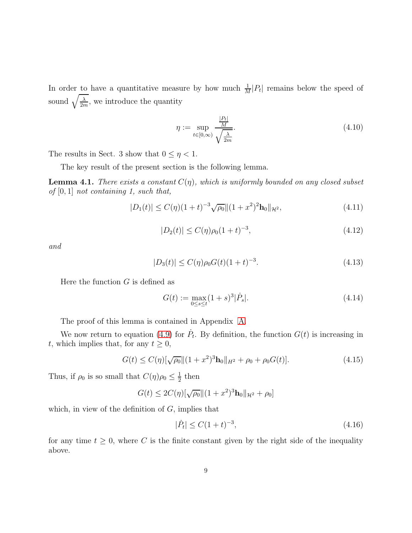In order to have a quantitative measure by how much  $\frac{1}{M}|P_t|$  remains below the speed of sound  $\sqrt{\frac{\lambda}{2n}}$  $\frac{\lambda}{2m}$ , we introduce the quantity

<span id="page-8-2"></span>
$$
\eta := \sup_{t \in [0,\infty)} \frac{\frac{|P_t|}{M}}{\sqrt{\frac{\lambda}{2m}}}.\tag{4.10}
$$

The results in Sect. 3 show that  $0 \leq \eta < 1$ .

The key result of the present section is the following lemma.

<span id="page-8-0"></span>**Lemma 4.1.** There exists a constant  $C(\eta)$ , which is uniformly bounded on any closed subset of  $[0, 1]$  not containing 1, such that,

$$
|D_1(t)| \le C(\eta)(1+t)^{-3}\sqrt{\rho_0} \|(1+x^2)^2 \mathbf{h}_0\|_{\mathcal{H}^2},\tag{4.11}
$$

<span id="page-8-3"></span>
$$
|D_2(t)| \le C(\eta)\rho_0(1+t)^{-3},\tag{4.12}
$$

and

$$
|D_3(t)| \le C(\eta)\rho_0 G(t)(1+t)^{-3}.
$$
\n(4.13)

Here the function  $G$  is defined as

<span id="page-8-4"></span>
$$
G(t) := \max_{0 \le s \le t} (1+s)^3 |\dot{P}_s|. \tag{4.14}
$$

The proof of this lemma is contained in Appendix [A.](#page-10-0)

We now return to equation [\(4.9\)](#page-7-4) for  $\dot{P}_t$ . By definition, the function  $G(t)$  is increasing in t, which implies that, for any  $t \geq 0$ ,

$$
G(t) \le C(\eta) [\sqrt{\rho_0} || (1+x^2)^3 \mathbf{h}_0 ||_{H^2} + \rho_0 + \rho_0 G(t)]. \tag{4.15}
$$

Thus, if  $\rho_0$  is so small that  $C(\eta)\rho_0 \leq \frac{1}{2}$  $\frac{1}{2}$  then

$$
G(t) \le 2C(\eta)[\sqrt{\rho_0}||(1+x^2)^3\mathbf{h}_0||_{\mathcal{H}^2} + \rho_0]
$$

which, in view of the definition of  $G$ , implies that

<span id="page-8-1"></span>
$$
|\dot{P}_t| \le C(1+t)^{-3},\tag{4.16}
$$

for any time  $t \geq 0$ , where C is the finite constant given by the right side of the inequality above.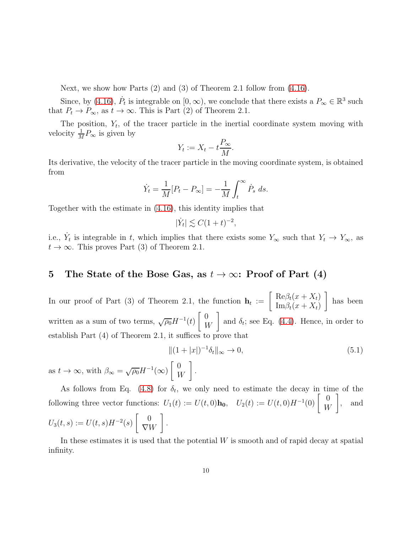Next, we show how Parts (2) and (3) of Theorem 2.1 follow from [\(4.16\)](#page-8-1).

Since, by [\(4.16\)](#page-8-1),  $\dot{P}_t$  is integrable on  $[0, \infty)$ , we conclude that there exists a  $P_\infty \in \mathbb{R}^3$  such that  $P_t \to P_{\infty}$ , as  $t \to \infty$ . This is Part (2) of Theorem 2.1.

The position,  $Y_t$ , of the tracer particle in the inertial coordinate system moving with velocity  $\frac{1}{M}P_{\infty}$  is given by

$$
Y_t := X_t - t \frac{P_{\infty}}{M}.
$$

Its derivative, the velocity of the tracer particle in the moving coordinate system, is obtained from

$$
\dot{Y}_t = \frac{1}{M} [P_t - P_\infty] = -\frac{1}{M} \int_t^\infty \dot{P}_s ds.
$$

Together with the estimate in [\(4.16\)](#page-8-1), this identity implies that

$$
|\dot{Y}_t| \lesssim C(1+t)^{-2},
$$

i.e.,  $\dot{Y}_t$  is integrable in t, which implies that there exists some  $Y_\infty$  such that  $Y_t \to Y_\infty$ , as  $t \to \infty$ . This proves Part (3) of Theorem 2.1.

## <span id="page-9-0"></span>5 The State of the Bose Gas, as  $t \to \infty$ : Proof of Part (4)

In our proof of Part (3) of Theorem 2.1, the function  $h_t := \begin{bmatrix} \text{Re} \beta_t(x+X_t) \\ \text{Im} \beta_t(x+X_t) \end{bmatrix}$  $\text{Im}\beta_t(x+X_t)$ 1 has been written as a sum of two terms,  $\sqrt{\rho_0}H^{-1}(t)$  $\begin{bmatrix} 0 \end{bmatrix}$ W 1 and  $\delta_t$ ; see Eq. [\(4.4\)](#page-6-4). Hence, in order to establish Part (4) of Theorem 2.1, it suffices to prove that

$$
\|(1+|x|)^{-1}\delta_t\|_{\infty} \to 0,
$$
\n(5.1)

as  $t \to \infty$ , with  $\beta_{\infty} = \sqrt{\rho_0} H^{-1}(\infty)$  $\begin{bmatrix} 0 \end{bmatrix}$ W 1

As follows from Eq. [\(4.8\)](#page-7-2) for  $\delta_t$ , we only need to estimate the decay in time of the following three vector functions:  $U_1(t) := U(t,0)$ **h**<sub>0</sub>,  $U_2(t) := U(t,0)H^{-1}(0)$   $\begin{bmatrix} 0 \\ W_1 \end{bmatrix}$ W 1 , and  $U_3(t,s) := U(t,s)H^{-2}(s)$  $\begin{bmatrix} 0 \end{bmatrix}$  $\nabla W$ 1 .

.

In these estimates it is used that the potential  $W$  is smooth and of rapid decay at spatial infinity.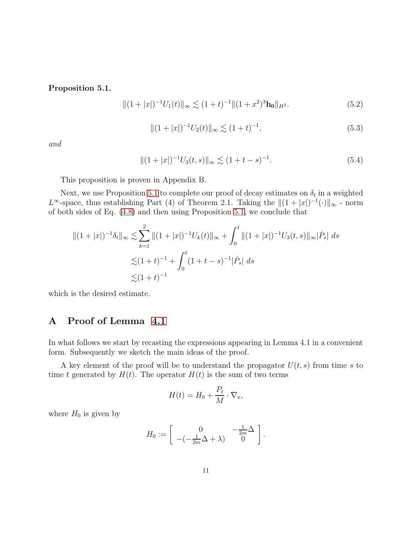<span id="page-10-1"></span>Proposition 5.1.

$$
||(1+|x|)^{-1}U_1(t)||_{\infty} \lesssim (1+t)^{-1}||(1+x^2)^3\mathbf{h}_0||_{H^2}.
$$
 (5.2)

$$
||(1+|x|)^{-1}U_2(t)||_{\infty} \lesssim (1+t)^{-1},
$$
\n(5.3)

and

$$
||(1+|x|)^{-1}U_3(t,s)||_{\infty} \lesssim (1+t-s)^{-1}.
$$
\n(5.4)

This proposition is proven in Appendix B.

Next, we use Proposition [5.1](#page-10-1) to complete our proof of decay estimates on  $\delta_t$  in a weighted  $L^{\infty}$ -space, thus establishing Part (4) of Theorem 2.1. Taking the  $||(1 + |x|)^{-1}(\cdot)||_{\infty}$  - norm of both sides of Eq. [\(4.8\)](#page-7-2) and then using Proposition [5.1,](#page-10-1) we conclude that

$$
||(1+|x|)^{-1}\delta_t||_{\infty} \lesssim \sum_{k=1}^2 ||(1+|x|)^{-1}U_k(t)||_{\infty} + \int_0^t ||(1+|x|)^{-1}U_3(t,s)||_{\infty}|\dot{P}_s| ds
$$
  

$$
\lesssim (1+t)^{-1} + \int_0^t (1+t-s)^{-1}|\dot{P}_s| ds
$$
  

$$
\lesssim (1+t)^{-1}
$$

<span id="page-10-0"></span>which is the desired estimate.

## A Proof of Lemma [4.1](#page-8-0)

In what follows we start by recasting the expressions appearing in Lemma 4.1 in a convenient form. Subsequently we sketch the main ideas of the proof.

A key element of the proof will be to understand the propagator  $U(t, s)$  from time s to time t generated by  $H(t)$ . The operator  $H(t)$  is the sum of two terms

$$
H(t) = H_0 + \frac{P_t}{M} \cdot \nabla_x,
$$

where  $H_0$  is given by

$$
H_0 := \left[ \begin{array}{cc} 0 & -\frac{1}{2m}\Delta \\ -(-\frac{1}{2m}\Delta + \lambda) & 0 \end{array} \right].
$$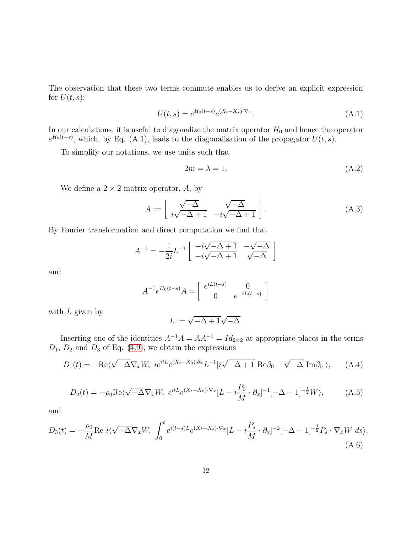The observation that these two terms commute enables us to derive an explicit expression for  $U(t, s)$ :

$$
U(t,s) = e^{H_0(t-s)} e^{(X_t - X_s) \cdot \nabla_x}.
$$
\n(A.1)

In our calculations, it is useful to diagonalize the matrix operator  $H_0$  and hence the operator  $e^{H_0(t-s)}$ , which, by Eq. (A.1), leads to the diagonalisation of the propagator  $U(t, s)$ .

To simplify our notations, we use units such that

<span id="page-11-0"></span>
$$
2m = \lambda = 1. \tag{A.2}
$$

We define a  $2 \times 2$  matrix operator, A, by

$$
A := \left[ \begin{array}{cc} \sqrt{-\Delta} & \sqrt{-\Delta} \\ i\sqrt{-\Delta+1} & -i\sqrt{-\Delta+1} \end{array} \right]. \tag{A.3}
$$

By Fourier transformation and direct computation we find that

$$
A^{-1} = -\frac{1}{2i}L^{-1} \begin{bmatrix} -i\sqrt{-\Delta+1} & -\sqrt{-\Delta} \\ -i\sqrt{-\Delta+1} & \sqrt{-\Delta} \end{bmatrix}
$$

and

$$
A^{-1}e^{H_0(t-s)}A = \begin{bmatrix} e^{iL(t-s)} & 0\\ 0 & e^{-iL(t-s)} \end{bmatrix}
$$

with  $L$  given by

$$
L:=\sqrt{-\Delta+1}\sqrt{-\Delta}.
$$

Inserting one of the identities  $A^{-1}A = AA^{-1} = Id_{2\times 2}$  at appropriate places in the terms  $D_1$ ,  $D_2$  and  $D_3$  of Eq. [\(4.9\)](#page-7-4), we obtain the expressions

$$
D_1(t) = -\text{Re}\langle \sqrt{-\Delta} \nabla_x W, \ ie^{itL} e^{(X_t - X_0) \cdot \partial_x} L^{-1} [i\sqrt{-\Delta + 1} \ \text{Re}\beta_0 + \sqrt{-\Delta} \ \text{Im}\beta_0] \rangle, \tag{A.4}
$$

$$
D_2(t) = -\rho_0 \text{Re}\langle \sqrt{-\Delta} \nabla_x W, \ e^{itL} e^{(X_t - X_0)\cdot \nabla_x} [L - i\frac{P_0}{M} \cdot \partial_x]^{-1} [-\Delta + 1]^{-\frac{1}{2}} W \rangle, \tag{A.5}
$$

and

$$
D_3(t) = -\frac{\rho_0}{M} \text{Re } i \langle \sqrt{-\Delta} \nabla_x W, \int_0^t e^{i(t-s)L} e^{(X_t - X_s) \cdot \nabla_x} [L - i\frac{P_s}{M} \cdot \partial_x]^{-2} [-\Delta + 1]^{-\frac{1}{2}} P_s \cdot \nabla_x W \, ds \rangle. \tag{A.6}
$$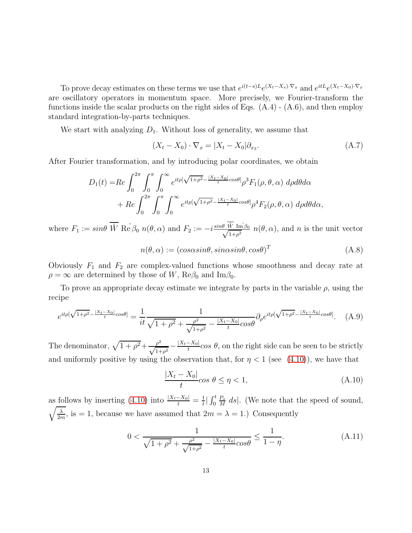To prove decay estimates on these terms we use that  $e^{i(t-s)L}e^{(X_t-X_s)\cdot \nabla_x}$  and  $e^{itL}e^{(X_t-X_0)\cdot \nabla_x}$ are oscillatory operators in momentum space. More precisely, we Fourier-transform the functions inside the scalar products on the right sides of Eqs.  $(A.4) - (A.6)$ , and then employ standard integration-by-parts techniques.

We start with analyzing  $D_1$ . Without loss of generality, we assume that

$$
(Xt - X0) \cdot \nabla_x = |Xt - X0| \partial_{x_3}.
$$
\n(A.7)

After Fourier transformation, and by introducing polar coordinates, we obtain

$$
D_1(t) = Re \int_0^{2\pi} \int_0^{\pi} \int_0^{\infty} e^{it\rho[\sqrt{1+\rho^2} - \frac{|X_t - X_0|}{t}cos\theta]} \rho^3 F_1(\rho, \theta, \alpha) d\rho d\theta d\alpha + Re \int_0^{2\pi} \int_0^{\pi} \int_0^{\infty} e^{it\rho[\sqrt{1+\rho^2} - \frac{|X_t - X_0|}{t}cos\theta]} \rho^4 F_2(\rho, \theta, \alpha) d\rho d\theta d\alpha,
$$

where  $F_1 := \sin\theta \,\overline{\hat{W}} \, \text{Re}\,\hat{\beta}_0 \, n(\theta,\alpha)$  and  $F_2 := -i \frac{\sin\theta \, \hat{W} \, \text{Im}\,\hat{\beta}_0}{\sqrt{1+\sigma^2}}$  $\frac{W \operatorname{Im} \beta_0}{1+\rho^2} n(\theta, \alpha)$ , and n is the unit vector

<span id="page-12-2"></span>
$$
n(\theta, \alpha) := (cos\alpha sin\theta, sin\alpha sin\theta, cos\theta)^{T}
$$
 (A.8)

Obviously  $F_1$  and  $F_2$  are complex-valued functions whose smoothness and decay rate at  $\rho = \infty$  are determined by those of W, Re $\beta_0$  and Im $\beta_0$ .

To prove an appropriate decay estimate we integrate by parts in the variable  $\rho$ , using the recipe

$$
e^{it\rho[\sqrt{1+\rho^2}-\frac{|X_t-X_0|}{t}cos\theta]} = \frac{1}{it}\frac{1}{\sqrt{1+\rho^2}+\frac{\rho^2}{\sqrt{1+\rho^2}}-\frac{|X_t-X_0|}{t}cos\theta}\partial_{\rho}e^{it\rho[\sqrt{1+\rho^2}-\frac{|X_t-X_0|}{t}cos\theta]}.
$$
 (A.9)

The denominator,  $\sqrt{1 + \rho^2} + \frac{\rho^2}{\sqrt{1 + \rho^2}} - \frac{|X_t - X_0|}{t}$  $\frac{-\Lambda_0}{t}$ cos  $\theta$ , on the right side can be seen to be strictly and uniformly positive by using the observation that, for  $\eta < 1$  (see [\(4.10\)](#page-8-2)), we have that

<span id="page-12-1"></span><span id="page-12-0"></span>
$$
\frac{|X_t - X_0|}{t}\cos\theta \le \eta < 1,\tag{A.10}
$$

as follows by inserting [\(4.10\)](#page-8-2) into  $\frac{|X_t - X_0|}{t} = \frac{1}{t}$  $\frac{1}{t}$ |  $\int_0^t$  $P_{s}$  $\frac{P_s}{M}$  ds. (We note that the speed of sound,  $\sqrt{\lambda}$  $\frac{\lambda}{2m}$ , is = 1, because we have assumed that  $2m = \lambda = 1$ .) Consequently

$$
0 < \frac{1}{\sqrt{1+\rho^2} + \frac{\rho^2}{\sqrt{1+\rho^2}} - \frac{|X_t - X_0|}{t} \cos \theta} \le \frac{1}{1-\eta}.\tag{A.11}
$$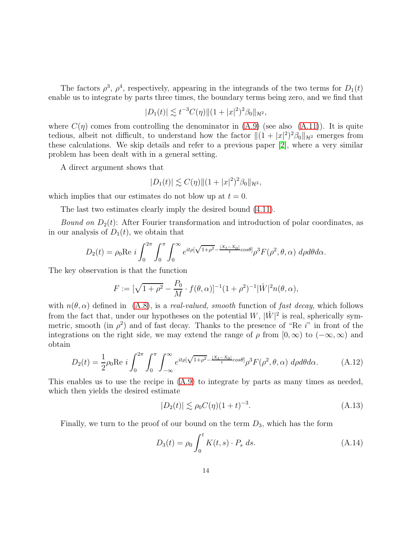The factors  $\rho^3$ ,  $\rho^4$ , respectively, appearing in the integrands of the two terms for  $D_1(t)$ enable us to integrate by parts three times, the boundary terms being zero, and we find that

$$
|D_1(t)| \lesssim t^{-3} C(\eta) ||(1+|x|^2)^2 \beta_0||_{\mathcal{H}^2},
$$

where  $C(\eta)$  comes from controlling the denominator in  $(A.9)$  (see also  $(A.11)$ ). It is quite tedious, albeit not difficult, to understand how the factor  $||(1 + |x|^2)^2 \beta_0||_{\mathcal{H}^2}$  emerges from these calculations. We skip details and refer to a previous paper [\[2\]](#page-16-0), where a very similar problem has been dealt with in a general setting.

A direct argument shows that

$$
|D_1(t)| \lesssim C(\eta) \|(1+|x|^2)^2 \beta_0\|_{\mathcal{H}^2},
$$

which implies that our estimates do not blow up at  $t = 0$ .

The last two estimates clearly imply the desired bound [\(4.11\)](#page-8-3).

*Bound on*  $D_2(t)$ : After Fourier transformation and introduction of polar coordinates, as in our analysis of  $D_1(t)$ , we obtain that

$$
D_2(t) = \rho_0 \text{Re } i \int_0^{2\pi} \int_0^{\pi} \int_0^{\infty} e^{it\rho[\sqrt{1+\rho^2} - \frac{|X_t - X_0|}{t} \cos \theta]} \rho^3 F(\rho^2, \theta, \alpha) d\rho d\theta d\alpha.
$$

The key observation is that the function

$$
F := [\sqrt{1+\rho^2} - \frac{P_0}{M} \cdot f(\theta, \alpha)]^{-1} (1+\rho^2)^{-1} |\hat{W}|^2 n(\theta, \alpha),
$$

with  $n(\theta, \alpha)$  defined in  $(A.8)$ , is a *real-valued, smooth* function of fast decay, which follows from the fact that, under our hypotheses on the potential  $W$ ,  $|\hat{W}|^2$  is real, spherically symmetric, smooth (in  $\rho^2$ ) and of fast decay. Thanks to the presence of "Re i" in front of the integrations on the right side, we may extend the range of  $\rho$  from  $[0, \infty)$  to  $(-\infty, \infty)$  and obtain

$$
D_2(t) = \frac{1}{2}\rho_0 \text{Re } i \int_0^{2\pi} \int_0^{\pi} \int_{-\infty}^{\infty} e^{it\rho[\sqrt{1+\rho^2} - \frac{|X_t - X_0|}{t}cos\theta]} \rho^3 F(\rho^2, \theta, \alpha) d\rho d\theta d\alpha.
$$
 (A.12)

This enables us to use the recipe in [\(A.9\)](#page-12-0) to integrate by parts as many times as needed, which then yields the desired estimate

<span id="page-13-1"></span><span id="page-13-0"></span>
$$
|D_2(t)| \lesssim \rho_0 C(\eta)(1+t)^{-3}.\tag{A.13}
$$

Finally, we turn to the proof of our bound on the term  $D_3$ , which has the form

$$
D_3(t) = \rho_0 \int_0^t K(t, s) \cdot P_s \, ds. \tag{A.14}
$$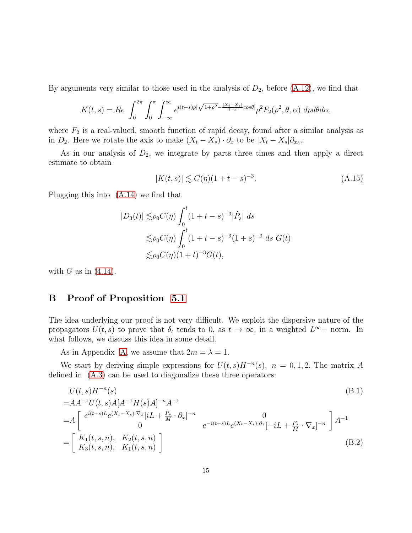By arguments very similar to those used in the analysis of  $D_2$ , before  $(A.12)$ , we find that

$$
K(t,s) = Re \int_0^{2\pi} \int_0^{\pi} \int_{-\infty}^{\infty} e^{i(t-s)\rho[\sqrt{1+\rho^2} - \frac{|X_t - X_s|}{t-s}cos\theta]} \rho^2 F_2(\rho^2, \theta, \alpha) d\rho d\theta d\alpha,
$$

where  $F_2$  is a real-valued, smooth function of rapid decay, found after a similar analysis as in  $D_2$ . Here we rotate the axis to make  $(X_t - X_s) \cdot \partial_x$  to be  $|X_t - X_s| \partial_{x_3}$ .

As in our analysis of  $D_2$ , we integrate by parts three times and then apply a direct estimate to obtain

$$
|K(t,s)| \lesssim C(\eta)(1+t-s)^{-3}.\tag{A.15}
$$

Plugging this into [\(A.14\)](#page-13-1) we find that

$$
|D_3(t)| \lesssim \rho_0 C(\eta) \int_0^t (1+t-s)^{-3} |\dot{P}_s| ds
$$
  
\n
$$
\lesssim \rho_0 C(\eta) \int_0^t (1+t-s)^{-3} (1+s)^{-3} ds G(t)
$$
  
\n
$$
\lesssim \rho_0 C(\eta) (1+t)^{-3} G(t),
$$

<span id="page-14-0"></span>with  $G$  as in  $(4.14)$ .

## B Proof of Proposition [5.1](#page-10-1)

The idea underlying our proof is not very difficult. We exploit the dispersive nature of the propagators  $U(t, s)$  to prove that  $\delta_t$  tends to 0, as  $t \to \infty$ , in a weighted  $L^{\infty}$  norm. In what follows, we discuss this idea in some detail.

As in Appendix [A,](#page-10-0) we assume that  $2m = \lambda = 1$ .

We start by deriving simple expressions for  $U(t, s)H^{-n}(s)$ ,  $n = 0, 1, 2$ . The matrix A defined in [\(A.3\)](#page-11-0) can be used to diagonalize these three operators:

$$
U(t,s)H^{-n}(s)
$$
\n
$$
=AA^{-1}U(t,s)A[A^{-1}H(s)A]^{-n}A^{-1}
$$
\n
$$
=A\begin{bmatrix} e^{i(t-s)L}e^{(X_t-X_s)\cdot\nabla_x}[iL + \frac{P_s}{M}\cdot\partial_x]^{-n} & 0\\ 0 & e^{-i(t-s)L}e^{(X_t-X_s)\cdot\partial_x}[-iL + \frac{P_s}{M}\cdot\nabla_x]^{-n} \end{bmatrix}A^{-1}
$$
\n
$$
= \begin{bmatrix} K_1(t,s,n), & K_2(t,s,n) \\ K_3(t,s,n), & K_1(t,s,n) \end{bmatrix}
$$
\n(B.2)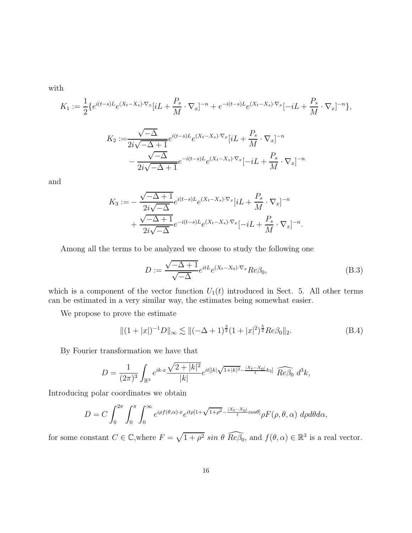with

$$
K_1 := \frac{1}{2} \{ e^{i(t-s)L} e^{(X_t - X_s) \cdot \nabla_x} [iL + \frac{P_s}{M} \cdot \nabla_x]^{-n} + e^{-i(t-s)L} e^{(X_t - X_s) \cdot \nabla_x} [-iL + \frac{P_s}{M} \cdot \nabla_x]^{-n} \},
$$
  

$$
K_2 := \frac{\sqrt{-\Delta}}{2i\sqrt{-\Delta+1}} e^{i(t-s)L} e^{(X_t - X_s) \cdot \nabla_x} [iL + \frac{P_s}{M} \cdot \nabla_x]^{-n}
$$
  

$$
- \frac{\sqrt{-\Delta}}{2i\sqrt{-\Delta+1}} e^{-i(t-s)L} e^{(X_t - X_s) \cdot \nabla_x} [-iL + \frac{P_s}{M} \cdot \nabla_x]^{-n}
$$

and

$$
K_3 := -\frac{\sqrt{-\Delta+1}}{2i\sqrt{-\Delta}} e^{i(t-s)L} e^{(X_t - X_s)\cdot \nabla_x} [iL + \frac{P_s}{M} \cdot \nabla_x]^{-n}
$$

$$
+ \frac{\sqrt{-\Delta+1}}{2i\sqrt{-\Delta}} e^{-i(t-s)L} e^{(X_t - X_s)\cdot \nabla_x} [-iL + \frac{P_s}{M} \cdot \nabla_x]^{-n}.
$$

Among all the terms to be analyzed we choose to study the following one

<span id="page-15-0"></span>
$$
D := \frac{\sqrt{-\Delta+1}}{\sqrt{-\Delta}} e^{itL} e^{(X_t - X_0)\cdot \nabla_x} Re\beta_0,
$$
\n(B.3)

which is a component of the vector function  $U_1(t)$  introduced in Sect. 5. All other terms can be estimated in a very similar way, the estimates being somewhat easier.

We propose to prove the estimate

$$
\|(1+|x|)^{-1}D\|_{\infty} \lesssim \|(-\Delta+1)^{\frac{3}{2}}(1+|x|^{2})^{\frac{5}{2}}Re\beta_0\|_{2}.
$$
 (B.4)

By Fourier transformation we have that

$$
D = \frac{1}{(2\pi)^3} \int_{\mathbb{R}^3} e^{ik \cdot x} \frac{\sqrt{2 + |k|^2}}{|k|} e^{it[|k| \sqrt{1 + |k|^2} - \frac{|X_t - X_0|}{t} k_3]} \widehat{Re\beta_0} d^3k,
$$

Introducing polar coordinates we obtain

$$
D = C \int_0^{2\pi} \int_0^{\pi} \int_0^{\infty} e^{i\rho f(\theta,\alpha)\cdot x} e^{it\rho [1 + \sqrt{1 + \rho^2} - \frac{|X_t - X_0|}{t} \cos \theta]} \rho F(\rho,\theta,\alpha) \ d\rho d\theta d\alpha,
$$

for some constant  $C \in \mathbb{C}$ , where  $F = \sqrt{1 + \rho^2} \sin \theta \widehat{Re\beta_0}$ , and  $f(\theta, \alpha) \in \mathbb{R}^3$  is a real vector.